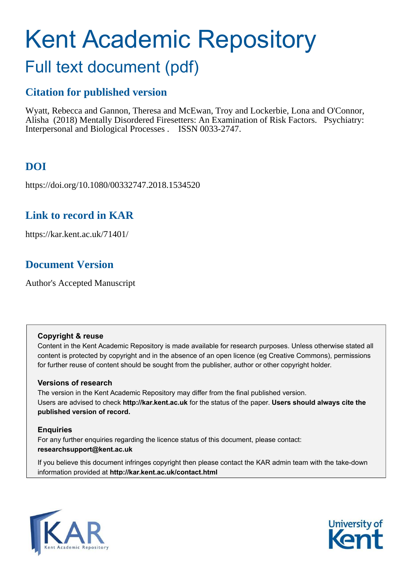# Kent Academic Repository

## Full text document (pdf)

## **Citation for published version**

Wyatt, Rebecca and Gannon, Theresa and McEwan, Troy and Lockerbie, Lona and O'Connor, Alisha (2018) Mentally Disordered Firesetters: An Examination of Risk Factors. Psychiatry: Interpersonal and Biological Processes . ISSN 0033-2747.

## **DOI**

https://doi.org/10.1080/00332747.2018.1534520

## **Link to record in KAR**

https://kar.kent.ac.uk/71401/

## **Document Version**

Author's Accepted Manuscript

#### **Copyright & reuse**

Content in the Kent Academic Repository is made available for research purposes. Unless otherwise stated all content is protected by copyright and in the absence of an open licence (eg Creative Commons), permissions for further reuse of content should be sought from the publisher, author or other copyright holder.

#### **Versions of research**

The version in the Kent Academic Repository may differ from the final published version. Users are advised to check **http://kar.kent.ac.uk** for the status of the paper. **Users should always cite the published version of record.**

#### **Enquiries**

For any further enquiries regarding the licence status of this document, please contact: **researchsupport@kent.ac.uk**

If you believe this document infringes copyright then please contact the KAR admin team with the take-down information provided at **http://kar.kent.ac.uk/contact.html**



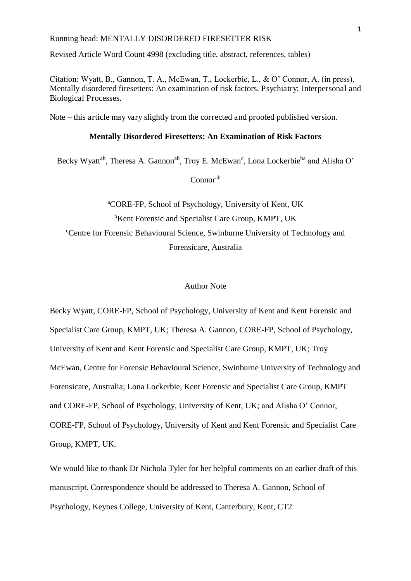Revised Article Word Count 4998 (excluding title, abstract, references, tables)

Citation: Wyatt, B., Gannon, T. A., McEwan, T., Lockerbie, L., & O' Connor, A. (in press). Mentally disordered firesetters: An examination of risk factors. Psychiatry: Interpersonal and Biological Processes.

Note *–* this article may vary slightly from the corrected and proofed published version.

#### **Mentally Disordered Firesetters: An Examination of Risk Factors**

Becky Wyatt<sup>ab</sup>, Theresa A. Gannon<sup>ab</sup>, Troy E. McEwan<sup>c</sup>, Lona Lockerbie<sup>ba</sup> and Alisha O'

Connorab

<sup>a</sup>CORE-FP, School of Psychology, University of Kent, UK <sup>b</sup>Kent Forensic and Specialist Care Group, KMPT, UK <sup>c</sup>Centre for Forensic Behavioural Science, Swinburne University of Technology and Forensicare, Australia

#### Author Note

Becky Wyatt, CORE-FP, School of Psychology, University of Kent and Kent Forensic and Specialist Care Group, KMPT, UK; Theresa A. Gannon, CORE-FP, School of Psychology, University of Kent and Kent Forensic and Specialist Care Group, KMPT, UK; Troy McEwan, Centre for Forensic Behavioural Science, Swinburne University of Technology and Forensicare, Australia; Lona Lockerbie, Kent Forensic and Specialist Care Group, KMPT and CORE-FP, School of Psychology, University of Kent, UK; and Alisha O' Connor, CORE-FP, School of Psychology, University of Kent and Kent Forensic and Specialist Care Group, KMPT, UK.

We would like to thank Dr Nichola Tyler for her helpful comments on an earlier draft of this manuscript. Correspondence should be addressed to Theresa A. Gannon, School of Psychology, Keynes College, University of Kent, Canterbury, Kent, CT2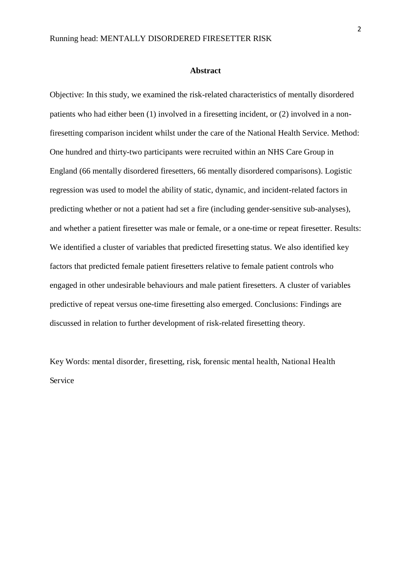#### **Abstract**

Objective: In this study, we examined the risk-related characteristics of mentally disordered patients who had either been (1) involved in a firesetting incident, or (2) involved in a nonfiresetting comparison incident whilst under the care of the National Health Service. Method: One hundred and thirty-two participants were recruited within an NHS Care Group in England (66 mentally disordered firesetters, 66 mentally disordered comparisons). Logistic regression was used to model the ability of static, dynamic, and incident-related factors in predicting whether or not a patient had set a fire (including gender-sensitive sub-analyses), and whether a patient firesetter was male or female, or a one-time or repeat firesetter. Results: We identified a cluster of variables that predicted firesetting status. We also identified key factors that predicted female patient firesetters relative to female patient controls who engaged in other undesirable behaviours and male patient firesetters. A cluster of variables predictive of repeat versus one-time firesetting also emerged. Conclusions: Findings are discussed in relation to further development of risk-related firesetting theory.

Key Words: mental disorder, firesetting, risk, forensic mental health, National Health Service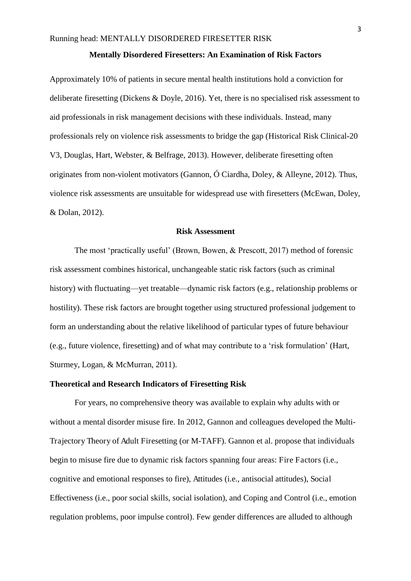#### **Mentally Disordered Firesetters: An Examination of Risk Factors**

Approximately 10% of patients in secure mental health institutions hold a conviction for deliberate firesetting (Dickens & Doyle, 2016). Yet, there is no specialised risk assessment to aid professionals in risk management decisions with these individuals. Instead, many professionals rely on violence risk assessments to bridge the gap (Historical Risk Clinical-20 V3, Douglas, Hart, Webster, & Belfrage, 2013). However, deliberate firesetting often originates from non-violent motivators (Gannon, Ó Ciardha, Doley, & Alleyne, 2012). Thus, violence risk assessments are unsuitable for widespread use with firesetters (McEwan, Doley, & Dolan, 2012).

#### **Risk Assessment**

The most 'practically useful' (Brown, Bowen, & Prescott, 2017) method of forensic risk assessment combines historical, unchangeable static risk factors (such as criminal history) with fluctuating—yet treatable—dynamic risk factors (e.g., relationship problems or hostility). These risk factors are brought together using structured professional judgement to form an understanding about the relative likelihood of particular types of future behaviour (e.g., future violence, firesetting) and of what may contribute to a 'risk formulation' (Hart, Sturmey, Logan, & McMurran, 2011).

#### **Theoretical and Research Indicators of Firesetting Risk**

For years, no comprehensive theory was available to explain why adults with or without a mental disorder misuse fire. In 2012, Gannon and colleagues developed the Multi-Trajectory Theory of Adult Firesetting (or M-TAFF). Gannon et al. propose that individuals begin to misuse fire due to dynamic risk factors spanning four areas: Fire Factors (i.e., cognitive and emotional responses to fire), Attitudes (i.e., antisocial attitudes), Social Effectiveness (i.e., poor social skills, social isolation), and Coping and Control (i.e., emotion regulation problems, poor impulse control). Few gender differences are alluded to although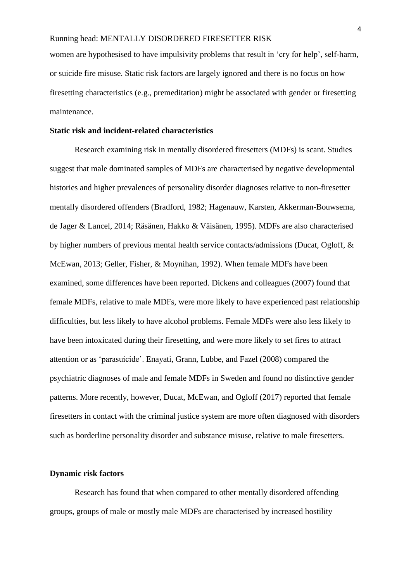women are hypothesised to have impulsivity problems that result in 'cry for help', self-harm, or suicide fire misuse. Static risk factors are largely ignored and there is no focus on how firesetting characteristics (e.g., premeditation) might be associated with gender or firesetting maintenance.

#### **Static risk and incident-related characteristics**

Research examining risk in mentally disordered firesetters (MDFs) is scant. Studies suggest that male dominated samples of MDFs are characterised by negative developmental histories and higher prevalences of personality disorder diagnoses relative to non-firesetter mentally disordered offenders (Bradford, 1982; Hagenauw, Karsten, Akkerman-Bouwsema, de Jager & Lancel, 2014; Räsänen, Hakko & Väisänen, 1995). MDFs are also characterised by higher numbers of previous mental health service contacts/admissions (Ducat, Ogloff, & McEwan, 2013; Geller, Fisher, & Moynihan, 1992). When female MDFs have been examined, some differences have been reported. Dickens and colleagues (2007) found that female MDFs, relative to male MDFs, were more likely to have experienced past relationship difficulties, but less likely to have alcohol problems. Female MDFs were also less likely to have been intoxicated during their firesetting, and were more likely to set fires to attract attention or as 'parasuicide'. Enayati, Grann, Lubbe, and Fazel (2008) compared the psychiatric diagnoses of male and female MDFs in Sweden and found no distinctive gender patterns. More recently, however, Ducat, McEwan, and Ogloff (2017) reported that female firesetters in contact with the criminal justice system are more often diagnosed with disorders such as borderline personality disorder and substance misuse, relative to male firesetters.

#### **Dynamic risk factors**

Research has found that when compared to other mentally disordered offending groups, groups of male or mostly male MDFs are characterised by increased hostility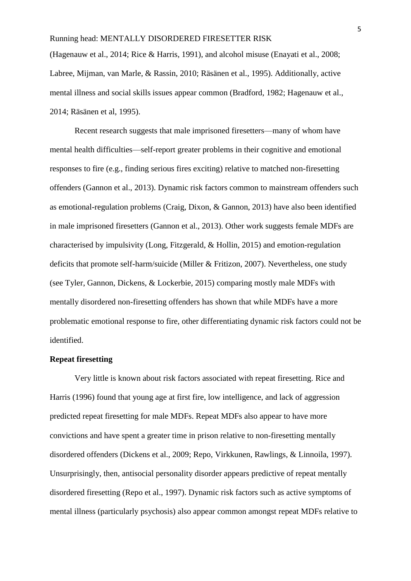(Hagenauw et al., 2014; Rice & Harris, 1991), and alcohol misuse (Enayati et al., 2008; Labree, Mijman, van Marle, & Rassin, 2010; Räsänen et al., 1995). Additionally, active mental illness and social skills issues appear common (Bradford, 1982; Hagenauw et al., 2014; Räsänen et al, 1995).

Recent research suggests that male imprisoned firesetters—many of whom have mental health difficulties—self-report greater problems in their cognitive and emotional responses to fire (e.g., finding serious fires exciting) relative to matched non-firesetting offenders (Gannon et al., 2013). Dynamic risk factors common to mainstream offenders such as emotional-regulation problems (Craig, Dixon, & Gannon, 2013) have also been identified in male imprisoned firesetters (Gannon et al., 2013). Other work suggests female MDFs are characterised by impulsivity (Long, Fitzgerald, & Hollin, 2015) and emotion-regulation deficits that promote self-harm/suicide (Miller & Fritizon, 2007). Nevertheless, one study (see Tyler, Gannon, Dickens, & Lockerbie, 2015) comparing mostly male MDFs with mentally disordered non-firesetting offenders has shown that while MDFs have a more problematic emotional response to fire, other differentiating dynamic risk factors could not be identified.

#### **Repeat firesetting**

Very little is known about risk factors associated with repeat firesetting. Rice and Harris (1996) found that young age at first fire, low intelligence, and lack of aggression predicted repeat firesetting for male MDFs. Repeat MDFs also appear to have more convictions and have spent a greater time in prison relative to non-firesetting mentally disordered offenders (Dickens et al., 2009; Repo, Virkkunen, Rawlings, & Linnoila, 1997). Unsurprisingly, then, antisocial personality disorder appears predictive of repeat mentally disordered firesetting (Repo et al., 1997). Dynamic risk factors such as active symptoms of mental illness (particularly psychosis) also appear common amongst repeat MDFs relative to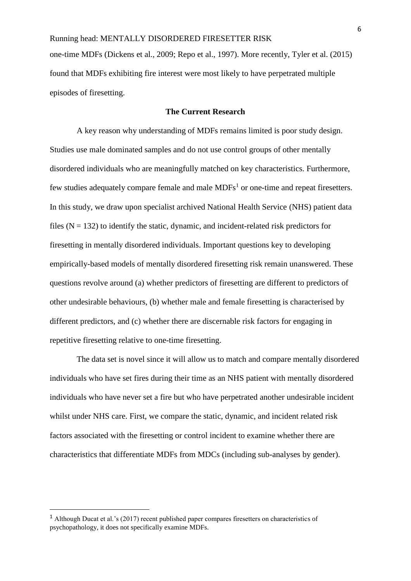one-time MDFs (Dickens et al., 2009; Repo et al., 1997). More recently, Tyler et al. (2015) found that MDFs exhibiting fire interest were most likely to have perpetrated multiple episodes of firesetting.

#### **The Current Research**

A key reason why understanding of MDFs remains limited is poor study design. Studies use male dominated samples and do not use control groups of other mentally disordered individuals who are meaningfully matched on key characteristics. Furthermore, few studies adequately compare female and male  $MDFs<sup>1</sup>$  or one-time and repeat firesetters. In this study, we draw upon specialist archived National Health Service (NHS) patient data files  $(N = 132)$  to identify the static, dynamic, and incident-related risk predictors for firesetting in mentally disordered individuals. Important questions key to developing empirically-based models of mentally disordered firesetting risk remain unanswered. These questions revolve around (a) whether predictors of firesetting are different to predictors of other undesirable behaviours, (b) whether male and female firesetting is characterised by different predictors, and (c) whether there are discernable risk factors for engaging in repetitive firesetting relative to one-time firesetting.

 The data set is novel since it will allow us to match and compare mentally disordered individuals who have set fires during their time as an NHS patient with mentally disordered individuals who have never set a fire but who have perpetrated another undesirable incident whilst under NHS care. First, we compare the static, dynamic, and incident related risk factors associated with the firesetting or control incident to examine whether there are characteristics that differentiate MDFs from MDCs (including sub-analyses by gender).

 $\overline{a}$ 

<sup>&</sup>lt;sup>1</sup> Although Ducat et al.'s (2017) recent published paper compares firesetters on characteristics of psychopathology, it does not specifically examine MDFs.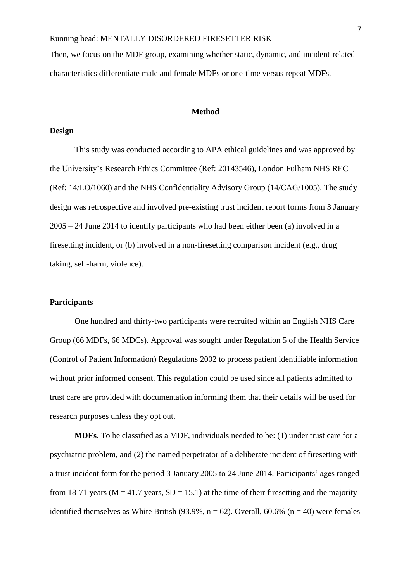Then, we focus on the MDF group, examining whether static, dynamic, and incident-related characteristics differentiate male and female MDFs or one-time versus repeat MDFs.

#### **Method**

#### **Design**

This study was conducted according to APA ethical guidelines and was approved by the University's Research Ethics Committee (Ref: 20143546), London Fulham NHS REC (Ref: 14/LO/1060) and the NHS Confidentiality Advisory Group (14/CAG/1005). The study design was retrospective and involved pre-existing trust incident report forms from 3 January 2005 – 24 June 2014 to identify participants who had been either been (a) involved in a firesetting incident, or (b) involved in a non-firesetting comparison incident (e.g., drug taking, self-harm, violence).

#### **Participants**

One hundred and thirty-two participants were recruited within an English NHS Care Group (66 MDFs, 66 MDCs). Approval was sought under Regulation 5 of the Health Service (Control of Patient Information) Regulations 2002 to process patient identifiable information without prior informed consent. This regulation could be used since all patients admitted to trust care are provided with documentation informing them that their details will be used for research purposes unless they opt out.

**MDFs.** To be classified as a MDF, individuals needed to be: (1) under trust care for a psychiatric problem, and (2) the named perpetrator of a deliberate incident of firesetting with a trust incident form for the period 3 January 2005 to 24 June 2014. Participants' ages ranged from 18-71 years ( $M = 41.7$  years,  $SD = 15.1$ ) at the time of their firesetting and the majority identified themselves as White British (93.9%,  $n = 62$ ). Overall, 60.6% ( $n = 40$ ) were females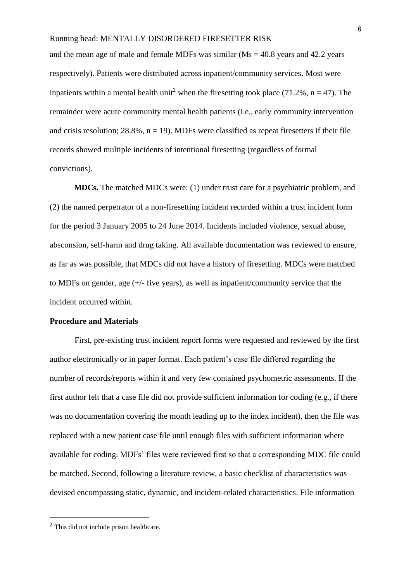and the mean age of male and female MDFs was similar  $(Ms = 40.8 \text{ years}$  and  $42.2 \text{ years}$ respectively). Patients were distributed across inpatient/community services. Most were inpatients within a mental health unit<sup>2</sup> when the firesetting took place (71.2%,  $n = 47$ ). The remainder were acute community mental health patients (i.e., early community intervention and crisis resolution;  $28.8\%$ ,  $n = 19$ ). MDFs were classified as repeat firesetters if their file records showed multiple incidents of intentional firesetting (regardless of formal convictions).

**MDCs.** The matched MDCs were: (1) under trust care for a psychiatric problem, and (2) the named perpetrator of a non-firesetting incident recorded within a trust incident form for the period 3 January 2005 to 24 June 2014. Incidents included violence, sexual abuse, absconsion, self-harm and drug taking. All available documentation was reviewed to ensure, as far as was possible, that MDCs did not have a history of firesetting. MDCs were matched to MDFs on gender, age (+/- five years), as well as inpatient/community service that the incident occurred within.

#### **Procedure and Materials**

First, pre-existing trust incident report forms were requested and reviewed by the first author electronically or in paper format. Each patient's case file differed regarding the number of records/reports within it and very few contained psychometric assessments. If the first author felt that a case file did not provide sufficient information for coding (e.g., if there was no documentation covering the month leading up to the index incident), then the file was replaced with a new patient case file until enough files with sufficient information where available for coding. MDFs' files were reviewed first so that a corresponding MDC file could be matched. Second, following a literature review, a basic checklist of characteristics was devised encompassing static, dynamic, and incident-related characteristics. File information

l

<sup>2</sup> This did not include prison healthcare.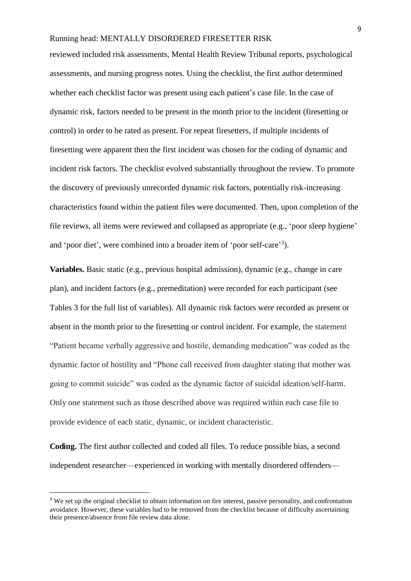reviewed included risk assessments, Mental Health Review Tribunal reports, psychological assessments, and nursing progress notes. Using the checklist, the first author determined whether each checklist factor was present using each patient's case file. In the case of dynamic risk, factors needed to be present in the month prior to the incident (firesetting or control) in order to be rated as present. For repeat firesetters, if multiple incidents of firesetting were apparent then the first incident was chosen for the coding of dynamic and incident risk factors. The checklist evolved substantially throughout the review. To promote the discovery of previously unrecorded dynamic risk factors, potentially risk-increasing characteristics found within the patient files were documented. Then, upon completion of the file reviews, all items were reviewed and collapsed as appropriate (e.g., 'poor sleep hygiene' and 'poor diet', were combined into a broader item of 'poor self-care'<sup>3</sup>).

**Variables.** Basic static (e.g., previous hospital admission), dynamic (e.g., change in care plan), and incident factors (e.g., premeditation) were recorded for each participant (see Tables 3 for the full list of variables). All dynamic risk factors were recorded as present or absent in the month prior to the firesetting or control incident. For example, the statement "Patient became verbally aggressive and hostile, demanding medication" was coded as the dynamic factor of hostility and "Phone call received from daughter stating that mother was going to commit suicide" was coded as the dynamic factor of suicidal ideation/self-harm. Only one statement such as those described above was required within each case file to provide evidence of each static, dynamic, or incident characteristic.

**Coding.** The first author collected and coded all files. To reduce possible bias, a second independent researcher—experienced in working with mentally disordered offenders—

 $\overline{a}$ 

<sup>&</sup>lt;sup>3</sup> We set up the original checklist to obtain information on fire interest, passive personality, and confrontation avoidance. However, these variables had to be removed from the checklist because of difficulty ascertaining their presence/absence from file review data alone.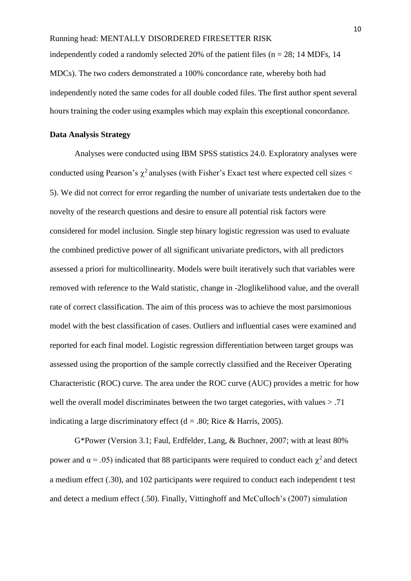independently coded a randomly selected 20% of the patient files ( $n = 28$ ; 14 MDFs, 14 MDCs). The two coders demonstrated a 100% concordance rate, whereby both had independently noted the same codes for all double coded files. The first author spent several hours training the coder using examples which may explain this exceptional concordance.

#### **Data Analysis Strategy**

Analyses were conducted using IBM SPSS statistics 24.0. Exploratory analyses were conducted using Pearson's  $\chi^2$  analyses (with Fisher's Exact test where expected cell sizes  $<$ 5). We did not correct for error regarding the number of univariate tests undertaken due to the novelty of the research questions and desire to ensure all potential risk factors were considered for model inclusion. Single step binary logistic regression was used to evaluate the combined predictive power of all significant univariate predictors, with all predictors assessed a priori for multicollinearity. Models were built iteratively such that variables were removed with reference to the Wald statistic, change in -2loglikelihood value, and the overall rate of correct classification. The aim of this process was to achieve the most parsimonious model with the best classification of cases. Outliers and influential cases were examined and reported for each final model. Logistic regression differentiation between target groups was assessed using the proportion of the sample correctly classified and the Receiver Operating Characteristic (ROC) curve. The area under the ROC curve (AUC) provides a metric for how well the overall model discriminates between the two target categories, with values > .71 indicating a large discriminatory effect ( $d = .80$ ; Rice & Harris, 2005).

G\*Power (Version 3.1; Faul, Erdfelder, Lang, & Buchner, 2007; with at least 80% power and  $\alpha$  = .05) indicated that 88 participants were required to conduct each  $\chi^2$  and detect a medium effect (.30), and 102 participants were required to conduct each independent t test and detect a medium effect (.50). Finally, Vittinghoff and McCulloch's (2007) simulation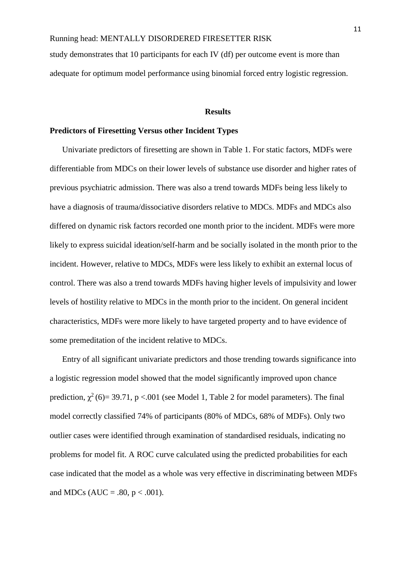study demonstrates that 10 participants for each IV (df) per outcome event is more than adequate for optimum model performance using binomial forced entry logistic regression.

#### **Results**

#### **Predictors of Firesetting Versus other Incident Types**

Univariate predictors of firesetting are shown in Table 1. For static factors, MDFs were differentiable from MDCs on their lower levels of substance use disorder and higher rates of previous psychiatric admission. There was also a trend towards MDFs being less likely to have a diagnosis of trauma/dissociative disorders relative to MDCs. MDFs and MDCs also differed on dynamic risk factors recorded one month prior to the incident. MDFs were more likely to express suicidal ideation/self-harm and be socially isolated in the month prior to the incident. However, relative to MDCs, MDFs were less likely to exhibit an external locus of control. There was also a trend towards MDFs having higher levels of impulsivity and lower levels of hostility relative to MDCs in the month prior to the incident. On general incident characteristics, MDFs were more likely to have targeted property and to have evidence of some premeditation of the incident relative to MDCs.

Entry of all significant univariate predictors and those trending towards significance into a logistic regression model showed that the model significantly improved upon chance prediction,  $\chi^2$  (6)= 39.71, p <.001 (see Model 1, Table 2 for model parameters). The final model correctly classified 74% of participants (80% of MDCs, 68% of MDFs). Only two outlier cases were identified through examination of standardised residuals, indicating no problems for model fit. A ROC curve calculated using the predicted probabilities for each case indicated that the model as a whole was very effective in discriminating between MDFs and MDCs (AUC = .80,  $p < .001$ ).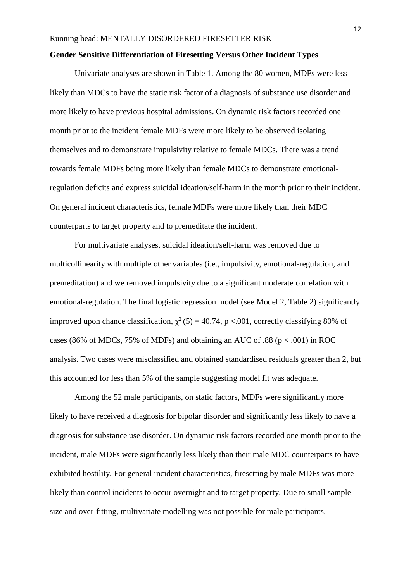#### **Gender Sensitive Differentiation of Firesetting Versus Other Incident Types**

Univariate analyses are shown in Table 1. Among the 80 women, MDFs were less likely than MDCs to have the static risk factor of a diagnosis of substance use disorder and more likely to have previous hospital admissions. On dynamic risk factors recorded one month prior to the incident female MDFs were more likely to be observed isolating themselves and to demonstrate impulsivity relative to female MDCs. There was a trend towards female MDFs being more likely than female MDCs to demonstrate emotionalregulation deficits and express suicidal ideation/self-harm in the month prior to their incident. On general incident characteristics, female MDFs were more likely than their MDC counterparts to target property and to premeditate the incident.

 For multivariate analyses, suicidal ideation/self-harm was removed due to multicollinearity with multiple other variables (i.e., impulsivity, emotional-regulation, and premeditation) and we removed impulsivity due to a significant moderate correlation with emotional-regulation. The final logistic regression model (see Model 2, Table 2) significantly improved upon chance classification,  $\chi^2$  (5) = 40.74, p <.001, correctly classifying 80% of cases (86% of MDCs, 75% of MDFs) and obtaining an AUC of .88 ( $p < .001$ ) in ROC analysis. Two cases were misclassified and obtained standardised residuals greater than 2, but this accounted for less than 5% of the sample suggesting model fit was adequate.

 Among the 52 male participants, on static factors, MDFs were significantly more likely to have received a diagnosis for bipolar disorder and significantly less likely to have a diagnosis for substance use disorder. On dynamic risk factors recorded one month prior to the incident, male MDFs were significantly less likely than their male MDC counterparts to have exhibited hostility. For general incident characteristics, firesetting by male MDFs was more likely than control incidents to occur overnight and to target property. Due to small sample size and over-fitting, multivariate modelling was not possible for male participants.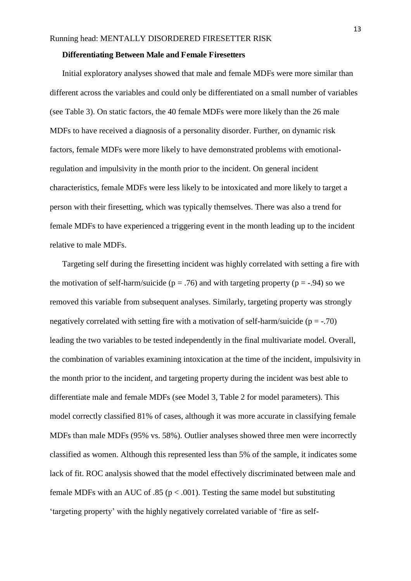#### **Differentiating Between Male and Female Firesetters**

Initial exploratory analyses showed that male and female MDFs were more similar than different across the variables and could only be differentiated on a small number of variables (see Table 3). On static factors, the 40 female MDFs were more likely than the 26 male MDFs to have received a diagnosis of a personality disorder. Further, on dynamic risk factors, female MDFs were more likely to have demonstrated problems with emotionalregulation and impulsivity in the month prior to the incident. On general incident characteristics, female MDFs were less likely to be intoxicated and more likely to target a person with their firesetting, which was typically themselves. There was also a trend for female MDFs to have experienced a triggering event in the month leading up to the incident relative to male MDFs.

Targeting self during the firesetting incident was highly correlated with setting a fire with the motivation of self-harm/suicide ( $p = .76$ ) and with targeting property ( $p = .94$ ) so we removed this variable from subsequent analyses. Similarly, targeting property was strongly negatively correlated with setting fire with a motivation of self-harm/suicide ( $p = -70$ ) leading the two variables to be tested independently in the final multivariate model. Overall, the combination of variables examining intoxication at the time of the incident, impulsivity in the month prior to the incident, and targeting property during the incident was best able to differentiate male and female MDFs (see Model 3, Table 2 for model parameters). This model correctly classified 81% of cases, although it was more accurate in classifying female MDFs than male MDFs (95% vs. 58%). Outlier analyses showed three men were incorrectly classified as women. Although this represented less than 5% of the sample, it indicates some lack of fit. ROC analysis showed that the model effectively discriminated between male and female MDFs with an AUC of .85 ( $p < .001$ ). Testing the same model but substituting 'targeting property' with the highly negatively correlated variable of 'fire as self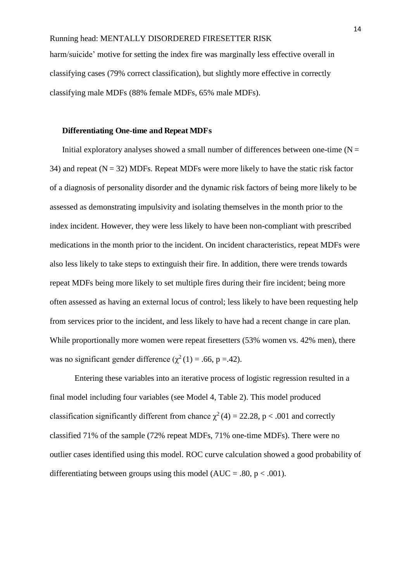harm/suicide' motive for setting the index fire was marginally less effective overall in classifying cases (79% correct classification), but slightly more effective in correctly classifying male MDFs (88% female MDFs, 65% male MDFs).

#### **Differentiating One-time and Repeat MDFs**

Initial exploratory analyses showed a small number of differences between one-time  $(N =$ 34) and repeat ( $N = 32$ ) MDFs. Repeat MDFs were more likely to have the static risk factor of a diagnosis of personality disorder and the dynamic risk factors of being more likely to be assessed as demonstrating impulsivity and isolating themselves in the month prior to the index incident. However, they were less likely to have been non-compliant with prescribed medications in the month prior to the incident. On incident characteristics, repeat MDFs were also less likely to take steps to extinguish their fire. In addition, there were trends towards repeat MDFs being more likely to set multiple fires during their fire incident; being more often assessed as having an external locus of control; less likely to have been requesting help from services prior to the incident, and less likely to have had a recent change in care plan. While proportionally more women were repeat firesetters (53% women vs. 42% men), there was no significant gender difference ( $\chi^2(1) = .66$ , p =.42).

Entering these variables into an iterative process of logistic regression resulted in a final model including four variables (see Model 4, Table 2). This model produced classification significantly different from chance  $\chi^2(4) = 22.28$ , p < .001 and correctly classified 71% of the sample (72% repeat MDFs, 71% one-time MDFs). There were no outlier cases identified using this model. ROC curve calculation showed a good probability of differentiating between groups using this model ( $AUC = .80$ ,  $p < .001$ ).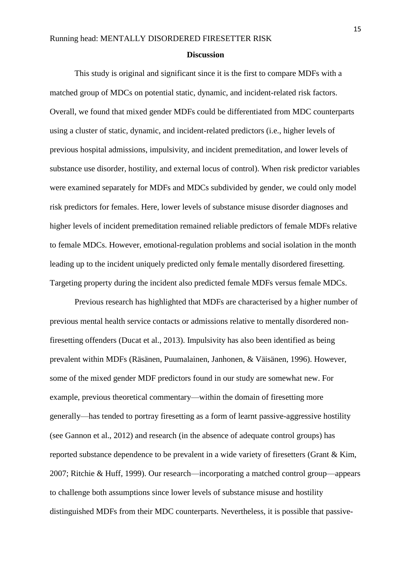#### **Discussion**

This study is original and significant since it is the first to compare MDFs with a matched group of MDCs on potential static, dynamic, and incident-related risk factors. Overall, we found that mixed gender MDFs could be differentiated from MDC counterparts using a cluster of static, dynamic, and incident-related predictors (i.e., higher levels of previous hospital admissions, impulsivity, and incident premeditation, and lower levels of substance use disorder, hostility, and external locus of control). When risk predictor variables were examined separately for MDFs and MDCs subdivided by gender, we could only model risk predictors for females. Here, lower levels of substance misuse disorder diagnoses and higher levels of incident premeditation remained reliable predictors of female MDFs relative to female MDCs. However, emotional-regulation problems and social isolation in the month leading up to the incident uniquely predicted only female mentally disordered firesetting. Targeting property during the incident also predicted female MDFs versus female MDCs.

 Previous research has highlighted that MDFs are characterised by a higher number of previous mental health service contacts or admissions relative to mentally disordered nonfiresetting offenders (Ducat et al., 2013). Impulsivity has also been identified as being prevalent within MDFs (Räsänen, Puumalainen, Janhonen, & Väisänen, 1996). However, some of the mixed gender MDF predictors found in our study are somewhat new. For example, previous theoretical commentary—within the domain of firesetting more generally—has tended to portray firesetting as a form of learnt passive-aggressive hostility (see Gannon et al., 2012) and research (in the absence of adequate control groups) has reported substance dependence to be prevalent in a wide variety of firesetters (Grant & Kim, 2007; Ritchie & Huff, 1999). Our research—incorporating a matched control group—appears to challenge both assumptions since lower levels of substance misuse and hostility distinguished MDFs from their MDC counterparts. Nevertheless, it is possible that passive-

15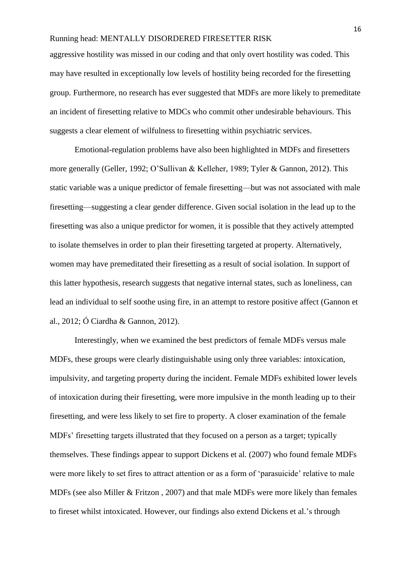aggressive hostility was missed in our coding and that only overt hostility was coded. This may have resulted in exceptionally low levels of hostility being recorded for the firesetting group. Furthermore, no research has ever suggested that MDFs are more likely to premeditate an incident of firesetting relative to MDCs who commit other undesirable behaviours. This suggests a clear element of wilfulness to firesetting within psychiatric services.

Emotional-regulation problems have also been highlighted in MDFs and firesetters more generally (Geller, 1992; O'Sullivan & Kelleher, 1989; Tyler & Gannon, 2012). This static variable was a unique predictor of female firesetting—but was not associated with male firesetting—suggesting a clear gender difference. Given social isolation in the lead up to the firesetting was also a unique predictor for women, it is possible that they actively attempted to isolate themselves in order to plan their firesetting targeted at property. Alternatively, women may have premeditated their firesetting as a result of social isolation. In support of this latter hypothesis, research suggests that negative internal states, such as loneliness, can lead an individual to self soothe using fire, in an attempt to restore positive affect (Gannon et al., 2012; Ó Ciardha & Gannon, 2012).

Interestingly, when we examined the best predictors of female MDFs versus male MDFs, these groups were clearly distinguishable using only three variables: intoxication, impulsivity, and targeting property during the incident. Female MDFs exhibited lower levels of intoxication during their firesetting, were more impulsive in the month leading up to their firesetting, and were less likely to set fire to property. A closer examination of the female MDFs' firesetting targets illustrated that they focused on a person as a target; typically themselves. These findings appear to support Dickens et al. (2007) who found female MDFs were more likely to set fires to attract attention or as a form of 'parasuicide' relative to male MDFs (see also Miller & Fritzon , 2007) and that male MDFs were more likely than females to fireset whilst intoxicated. However, our findings also extend Dickens et al.'s through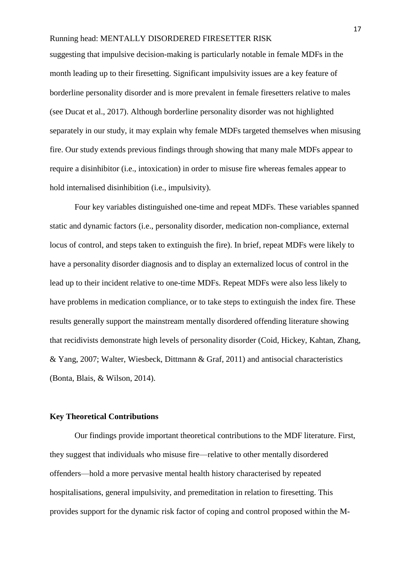suggesting that impulsive decision-making is particularly notable in female MDFs in the month leading up to their firesetting. Significant impulsivity issues are a key feature of borderline personality disorder and is more prevalent in female firesetters relative to males (see Ducat et al., 2017). Although borderline personality disorder was not highlighted separately in our study, it may explain why female MDFs targeted themselves when misusing fire. Our study extends previous findings through showing that many male MDFs appear to require a disinhibitor (i.e., intoxication) in order to misuse fire whereas females appear to hold internalised disinhibition (i.e., impulsivity).

 Four key variables distinguished one-time and repeat MDFs. These variables spanned static and dynamic factors (i.e., personality disorder, medication non-compliance, external locus of control, and steps taken to extinguish the fire). In brief, repeat MDFs were likely to have a personality disorder diagnosis and to display an externalized locus of control in the lead up to their incident relative to one-time MDFs. Repeat MDFs were also less likely to have problems in medication compliance, or to take steps to extinguish the index fire. These results generally support the mainstream mentally disordered offending literature showing that recidivists demonstrate high levels of personality disorder (Coid, Hickey, Kahtan, Zhang, & Yang, 2007; Walter, Wiesbeck, Dittmann & Graf, 2011) and antisocial characteristics (Bonta, Blais, & Wilson, 2014).

#### **Key Theoretical Contributions**

Our findings provide important theoretical contributions to the MDF literature. First, they suggest that individuals who misuse fire—relative to other mentally disordered offenders—hold a more pervasive mental health history characterised by repeated hospitalisations, general impulsivity, and premeditation in relation to firesetting. This provides support for the dynamic risk factor of coping and control proposed within the M-

17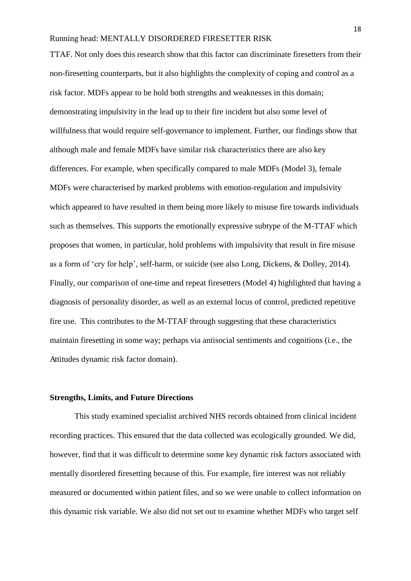TTAF. Not only does this research show that this factor can discriminate firesetters from their non-firesetting counterparts, but it also highlights the complexity of coping and control as a risk factor. MDFs appear to be hold both strengths and weaknesses in this domain; demonstrating impulsivity in the lead up to their fire incident but also some level of willfulness that would require self-governance to implement. Further, our findings show that although male and female MDFs have similar risk characteristics there are also key differences. For example, when specifically compared to male MDFs (Model 3), female MDFs were characterised by marked problems with emotion-regulation and impulsivity which appeared to have resulted in them being more likely to misuse fire towards individuals such as themselves. This supports the emotionally expressive subtype of the M-TTAF which proposes that women, in particular, hold problems with impulsivity that result in fire misuse as a form of 'cry for help', self-harm, or suicide (see also Long, Dickens, & Dolley, 2014). Finally, our comparison of one-time and repeat firesetters (Model 4) highlighted that having a diagnosis of personality disorder, as well as an external locus of control, predicted repetitive fire use. This contributes to the M-TTAF through suggesting that these characteristics maintain firesetting in some way; perhaps via antisocial sentiments and cognitions (i.e., the Attitudes dynamic risk factor domain).

#### **Strengths, Limits, and Future Directions**

This study examined specialist archived NHS records obtained from clinical incident recording practices. This ensured that the data collected was ecologically grounded. We did, however, find that it was difficult to determine some key dynamic risk factors associated with mentally disordered firesetting because of this. For example, fire interest was not reliably measured or documented within patient files, and so we were unable to collect information on this dynamic risk variable. We also did not set out to examine whether MDFs who target self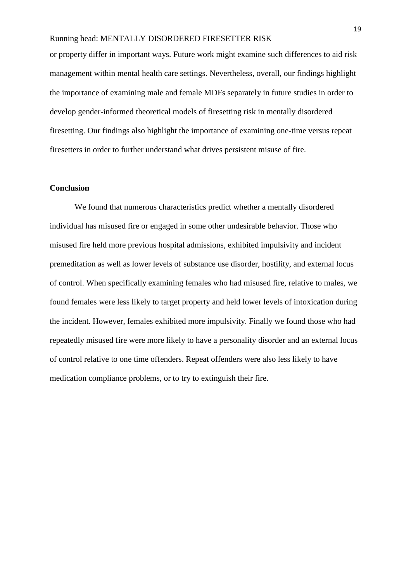or property differ in important ways. Future work might examine such differences to aid risk management within mental health care settings. Nevertheless, overall, our findings highlight the importance of examining male and female MDFs separately in future studies in order to develop gender-informed theoretical models of firesetting risk in mentally disordered firesetting. Our findings also highlight the importance of examining one-time versus repeat firesetters in order to further understand what drives persistent misuse of fire.

#### **Conclusion**

We found that numerous characteristics predict whether a mentally disordered individual has misused fire or engaged in some other undesirable behavior. Those who misused fire held more previous hospital admissions, exhibited impulsivity and incident premeditation as well as lower levels of substance use disorder, hostility, and external locus of control. When specifically examining females who had misused fire, relative to males, we found females were less likely to target property and held lower levels of intoxication during the incident. However, females exhibited more impulsivity. Finally we found those who had repeatedly misused fire were more likely to have a personality disorder and an external locus of control relative to one time offenders. Repeat offenders were also less likely to have medication compliance problems, or to try to extinguish their fire.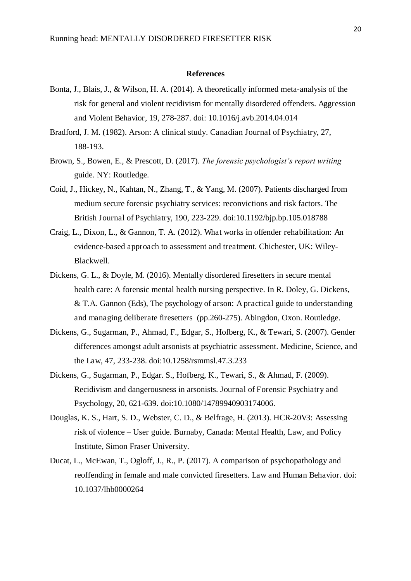#### **References**

- Bonta, J., Blais, J., & Wilson, H. A. (2014). A theoretically informed meta-analysis of the risk for general and violent recidivism for mentally disordered offenders. Aggression and Violent Behavior, 19, 278-287. doi: 10.1016/j.avb.2014.04.014
- Bradford, J. M. (1982). Arson: A clinical study. Canadian Journal of Psychiatry, 27, 188-193.
- Brown, S., Bowen, E., & Prescott, D. (2017). *The forensic psychologist's report writing*  guide. NY: Routledge.
- Coid, J., Hickey, N., Kahtan, N., Zhang, T., & Yang, M. (2007). Patients discharged from medium secure forensic psychiatry services: reconvictions and risk factors. The British Journal of Psychiatry, 190, 223-229. doi:10.1192/bjp.bp.105.018788
- Craig, L., Dixon, L., & Gannon, T. A. (2012). What works in offender rehabilitation: An evidence-based approach to assessment and treatment. Chichester, UK: Wiley-Blackwell.
- Dickens, G. L., & Doyle, M. (2016). Mentally disordered firesetters in secure mental health care: A forensic mental health nursing perspective. In R. Doley, G. Dickens, & T.A. Gannon (Eds), The psychology of arson: A practical guide to understanding and managing deliberate firesetters (pp.260-275). Abingdon, Oxon. Routledge.
- Dickens, G., Sugarman, P., Ahmad, F., Edgar, S., Hofberg, K., & Tewari, S. (2007). Gender differences amongst adult arsonists at psychiatric assessment. Medicine, Science, and the Law, 47, 233-238. doi:10.1258/rsmmsl.47.3.233
- Dickens, G., Sugarman, P., Edgar. S., Hofberg, K., Tewari, S., & Ahmad, F. (2009). Recidivism and dangerousness in arsonists. Journal of Forensic Psychiatry and Psychology, 20, 621-639. doi:10.1080/14789940903174006.
- Douglas, K. S., Hart, S. D., Webster, C. D., & Belfrage, H. (2013). HCR-20V3: Assessing risk of violence *–* User guide. Burnaby, Canada: Mental Health, Law, and Policy Institute, Simon Fraser University.
- Ducat, L., McEwan, T., Ogloff, J., R., P. (2017). A comparison of psychopathology and reoffending in female and male convicted firesetters. Law and Human Behavior. doi: 10.1037/lhb0000264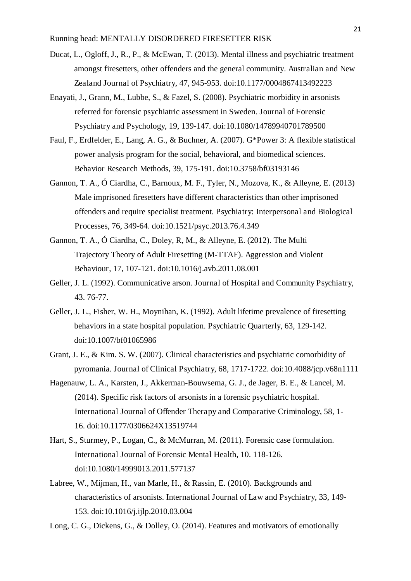- Ducat, L., Ogloff, J., R., P., & McEwan, T. (2013). Mental illness and psychiatric treatment amongst firesetters, other offenders and the general community. Australian and New Zealand Journal of Psychiatry, 47, 945-953. doi:10.1177/0004867413492223
- Enayati, J., Grann, M., Lubbe, S., & Fazel, S. (2008). Psychiatric morbidity in arsonists referred for forensic psychiatric assessment in Sweden. Journal of Forensic Psychiatry and Psychology, 19, 139-147. doi:10.1080/14789940701789500
- Faul, F., Erdfelder, E., Lang, A. G., & Buchner, A. (2007). G\*Power 3: A flexible statistical power analysis program for the social, behavioral, and biomedical sciences. Behavior Research Methods, 39, 175-191. doi:10.3758/bf03193146
- Gannon, T. A., Ó Ciardha, C., Barnoux, M. F., Tyler, N., Mozova, K., & Alleyne, E. (2013) Male imprisoned firesetters have different characteristics than other imprisoned offenders and require specialist treatment. Psychiatry: Interpersonal and Biological Processes, 76, 349-64. doi:10.1521/psyc.2013.76.4.349
- Gannon, T. A., Ó Ciardha, C., Doley, R, M., & Alleyne, E. (2012). The Multi Trajectory Theory of Adult Firesetting (M-TTAF). Aggression and Violent Behaviour, 17, 107-121. doi:10.1016/j.avb.2011.08.001
- Geller, J. L. (1992). Communicative arson. Journal of Hospital and Community Psychiatry, 43. 76-77.
- Geller, J. L., Fisher, W. H., Moynihan, K. (1992). Adult lifetime prevalence of firesetting behaviors in a state hospital population. Psychiatric Quarterly, 63, 129-142. doi:10.1007/bf01065986
- Grant, J. E., & Kim. S. W. (2007). Clinical characteristics and psychiatric comorbidity of pyromania. Journal of Clinical Psychiatry, 68, 1717-1722. doi:10.4088/jcp.v68n1111
- Hagenauw, L. A., Karsten, J., Akkerman-Bouwsema, G. J., de Jager, B. E., & Lancel, M. (2014). Specific risk factors of arsonists in a forensic psychiatric hospital. International Journal of Offender Therapy and Comparative Criminology, 58, 1- 16. doi:10.1177/0306624X13519744
- Hart, S., Sturmey, P., Logan, C., & McMurran, M. (2011). Forensic case formulation. International Journal of Forensic Mental Health, 10. 118-126. doi:10.1080/14999013.2011.577137
- Labree, W., Mijman, H., van Marle, H., & Rassin, E. (2010). Backgrounds and characteristics of arsonists. International Journal of Law and Psychiatry, 33, 149- 153. doi:10.1016/j.ijlp.2010.03.004
- Long, C. G., Dickens, G., & Dolley, O. (2014). Features and motivators of emotionally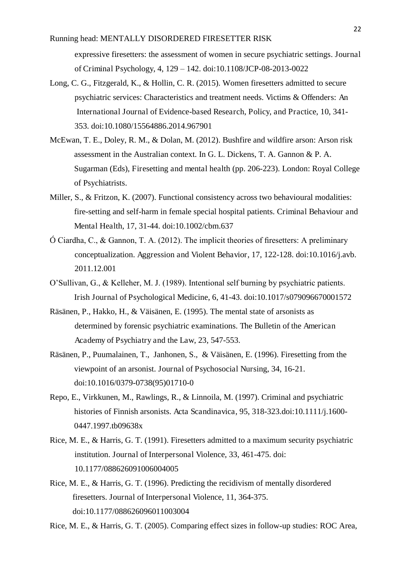expressive firesetters: the assessment of women in secure psychiatric settings. Journal of Criminal Psychology, 4, 129 – 142. doi:10.1108/JCP-08-2013-0022

- Long, C. G., Fitzgerald, K., & Hollin, C. R. (2015). Women firesetters admitted to secure psychiatric services: Characteristics and treatment needs. Victims & Offenders: An International Journal of Evidence-based Research, Policy, and Practice, 10, 341- 353. doi:10.1080/15564886.2014.967901
- McEwan, T. E., Doley, R. M., & Dolan, M. (2012). Bushfire and wildfire arson: Arson risk assessment in the Australian context. In G. L. Dickens, T. A. Gannon & P. A. Sugarman (Eds), Firesetting and mental health (pp. 206-223). London: Royal College of Psychiatrists.
- Miller, S., & Fritzon, K. (2007). Functional consistency across two behavioural modalities: fire-setting and self-harm in female special hospital patients. Criminal Behaviour and Mental Health, 17, 31-44. doi:10.1002/cbm.637
- Ó Ciardha, C., & Gannon, T. A. (2012). The implicit theories of firesetters: A preliminary conceptualization. Aggression and Violent Behavior, 17, 122-128. doi:10.1016/j.avb. 2011.12.001
- O'Sullivan, G., & Kelleher, M. J. (1989). Intentional self burning by psychiatric patients. Irish Journal of Psychological Medicine, 6, 41-43. doi:10.1017/s079096670001572
- Räsänen, P., Hakko, H., & Väisänen, E. (1995). The mental state of arsonists as determined by forensic psychiatric examinations. The Bulletin of the American Academy of Psychiatry and the Law, 23, 547-553.
- Räsänen, P., Puumalainen, T., Janhonen, S., & Väisänen, E. (1996). Firesetting from the viewpoint of an arsonist. Journal of Psychosocial Nursing, 34, 16-21. doi:10.1016/0379-0738(95)01710-0
- Repo, E., Virkkunen, M., Rawlings, R., & Linnoila, M. (1997). Criminal and psychiatric histories of Finnish arsonists. Acta Scandinavica, 95, 318-323.doi:10.1111/j.1600- 0447.1997.tb09638x
- Rice, M. E., & Harris, G. T. (1991). Firesetters admitted to a maximum security psychiatric institution. Journal of Interpersonal Violence, 33, 461-475. doi: 10.1177/088626091006004005
- Rice, M. E., & Harris, G. T. (1996). Predicting the recidivism of mentally disordered firesetters. Journal of Interpersonal Violence, 11, 364-375. doi:10.1177/088626096011003004

Rice, M. E., & Harris, G. T. (2005). Comparing effect sizes in follow-up studies: ROC Area,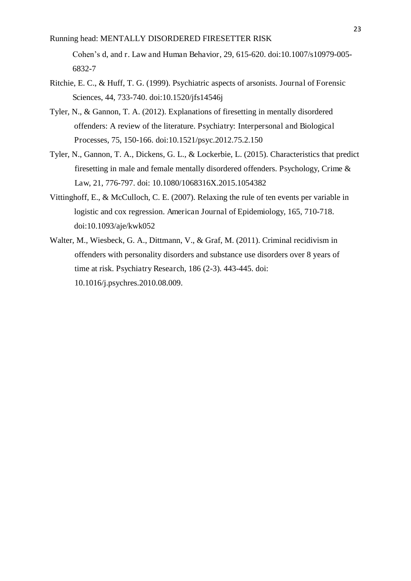Cohen's d, and r. Law and Human Behavior, 29, 615-620. doi:10.1007/s10979-005- 6832-7

- Ritchie, E. C., & Huff, T. G. (1999). Psychiatric aspects of arsonists. Journal of Forensic Sciences, 44, 733-740. doi:10.1520/jfs14546j
- Tyler, N., & Gannon, T. A. (2012). Explanations of firesetting in mentally disordered offenders: A review of the literature. Psychiatry: Interpersonal and Biological Processes, 75, 150-166. doi:10.1521/psyc.2012.75.2.150
- Tyler, N., Gannon, T. A., Dickens, G. L., & Lockerbie, L. (2015). Characteristics that predict firesetting in male and female mentally disordered offenders. Psychology, Crime & Law, 21, 776-797. doi: 10.1080/1068316X.2015.1054382
- Vittinghoff, E., & McCulloch, C. E. (2007). Relaxing the rule of ten events per variable in logistic and cox regression. American Journal of Epidemiology, 165, 710-718. doi:10.1093/aje/kwk052
- Walter, M., Wiesbeck, G. A., Dittmann, V., & Graf, M. (2011). Criminal recidivism in offenders with personality disorders and substance use disorders over 8 years of time at risk. Psychiatry Research, 186 (2-3). 443-445. doi: 10.1016/j.psychres.2010.08.009.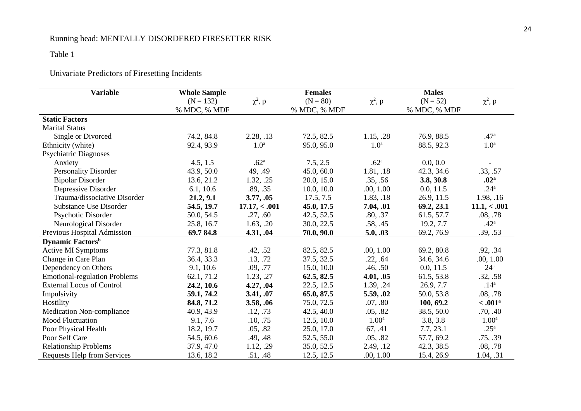## Table 1

## Univariate Predictors of Firesetting Incidents

| <b>Variable</b>                      | <b>Whole Sample</b> |                  | <b>Females</b> |                   | <b>Males</b> |                       |
|--------------------------------------|---------------------|------------------|----------------|-------------------|--------------|-----------------------|
|                                      | $(N = 132)$         | $\chi^2$ , p     | $(N = 80)$     | $\chi^2$ , p      | $(N = 52)$   | $\chi^2$ , p          |
|                                      | % MDC, % MDF        |                  | % MDC, % MDF   |                   | % MDC, % MDF |                       |
| <b>Static Factors</b>                |                     |                  |                |                   |              |                       |
| <b>Marital Status</b>                |                     |                  |                |                   |              |                       |
| Single or Divorced                   | 74.2, 84.8          | 2.28, .13        | 72.5, 82.5     | 1.15, .28         | 76.9, 88.5   | .47 <sup>a</sup>      |
| Ethnicity (white)                    | 92.4, 93.9          | 1.0 <sup>a</sup> | 95.0, 95.0     | 1.0 <sup>a</sup>  | 88.5, 92.3   | 1.0 <sup>a</sup>      |
| <b>Psychiatric Diagnoses</b>         |                     |                  |                |                   |              |                       |
| Anxiety                              | 4.5, 1.5            | .62 <sup>a</sup> | 7.5, 2.5       | .62 <sup>a</sup>  | 0.0, 0.0     |                       |
| <b>Personality Disorder</b>          | 43.9, 50.0          | 49, .49          | 45.0, 60.0     | 1.81, .18         | 42.3, 34.6   | .33, .57              |
| <b>Bipolar Disorder</b>              | 13.6, 21.2          | 1.32, .25        | 20.0, 15.0     | .35, .56          | 3.8, 30.8    | .02 <sup>a</sup>      |
| Depressive Disorder                  | 6.1, 10.6           | .89, .35         | 10.0, 10.0     | .00, 1.00         | 0.0, 11.5    | .24 <sup>a</sup>      |
| Trauma/dissociative Disorder         | 21.2, 9.1           | 3.77, .05        | 17.5, 7.5      | 1.83, .18         | 26.9, 11.5   | 1.98, .16             |
| <b>Substance Use Disorder</b>        | 54.5, 19.7          | 17.17,< .001     | 45.0, 17.5     | 7.04, .01         | 69.2, 23.1   | 11.1, < .001          |
| Psychotic Disorder                   | 50.0, 54.5          | .27, .60         | 42.5, 52.5     | .80, .37          | 61.5, 57.7   | .08, .78              |
| Neurological Disorder                | 25.8, 16.7          | 1.63, .20        | 30.0, 22.5     | .58, .45          | 19.2, 7.7    | .42 <sup>a</sup>      |
| Previous Hospital Admission          | 69.784.8            | 4.31, .04        | 70.0, 90.0     | 5.0, .03          | 69.2, 76.9   | .39, .53              |
| <b>Dynamic Factors</b> <sup>b</sup>  |                     |                  |                |                   |              |                       |
| <b>Active MI Symptoms</b>            | 77.3, 81.8          | .42, .52         | 82.5, 82.5     | .00, 1.00         | 69.2, 80.8   | .92, .34              |
| Change in Care Plan                  | 36.4, 33.3          | .13, .72         | 37.5, 32.5     | .22, .64          | 34.6, 34.6   | .00, 1.00             |
| Dependency on Others                 | 9.1, 10.6           | .09, .77         | 15.0, 10.0     | .46, .50          | 0.0, 11.5    | $24^{\rm a}$          |
| <b>Emotional-regulation Problems</b> | 62.1, 71.2          | 1.23, .27        | 62.5, 82.5     | 4.01, .05         | 61.5, 53.8   | .32, .58              |
| <b>External Locus of Control</b>     | 24.2, 10.6          | 4.27, .04        | 22.5, 12.5     | 1.39, .24         | 26.9, 7.7    | .14 <sup>a</sup>      |
| Impulsivity                          | 59.1, 74.2          | 3.41, .07        | 65.0, 87.5     | 5.59, .02         | 50.0, 53.8   | .08, .78              |
| Hostility                            | 84.8, 71.2          | 3.58, .06        | 75.0, 72.5     | .07, .80          | 100, 69.2    | $< .001$ <sup>a</sup> |
| <b>Medication Non-compliance</b>     | 40.9, 43.9          | .12, .73         | 42.5, 40.0     | .05, .82          | 38.5, 50.0   | .70, .40              |
| Mood Fluctuation                     | 9.1, 7.6            | .10, .75         | 12.5, 10.0     | 1.00 <sup>a</sup> | 3.8, 3.8     | 1.00 <sup>a</sup>     |
| Poor Physical Health                 | 18.2, 19.7          | .05, .82         | 25.0, 17.0     | 67, .41           | 7.7, 23.1    | .25 <sup>a</sup>      |
| Poor Self Care                       | 54.5, 60.6          | .49, .48         | 52.5, 55.0     | .05, .82          | 57.7, 69.2   | .75, .39              |
| <b>Relationship Problems</b>         | 37.9, 47.0          | 1.12, .29        | 35.0, 52.5     | 2.49, .12         | 42.3, 38.5   | .08, .78              |
| <b>Requests Help from Services</b>   | 13.6, 18.2          | .51, .48         | 12.5, 12.5     | .00, 1.00         | 15.4, 26.9   | 1.04, .31             |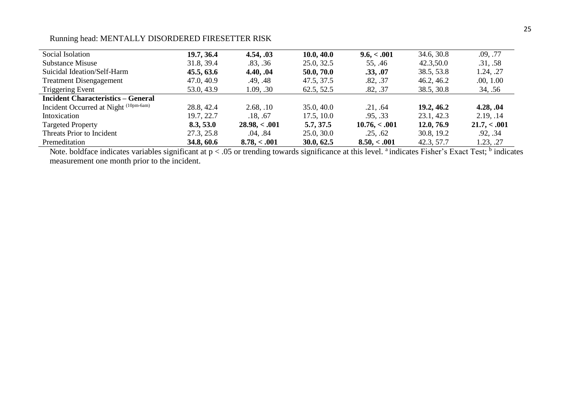| Social Isolation                                 | 19.7, 36.4 | 4.54, .03     | 10.0, 40.0 | 9.6, < .001   | 34.6, 30.8 | .09, .77     |
|--------------------------------------------------|------------|---------------|------------|---------------|------------|--------------|
| <b>Substance Misuse</b>                          | 31.8, 39.4 | .83, .36      | 25.0, 32.5 | 55, .46       | 42.3,50.0  | .31, .58     |
| Suicidal Ideation/Self-Harm                      | 45.5, 63.6 | 4.40, .04     | 50.0, 70.0 | .33, .07      | 38.5, 53.8 | 1.24, .27    |
| <b>Treatment Disengagement</b>                   | 47.0, 40.9 | .49, .48      | 47.5, 37.5 | .82, .37      | 46.2, 46.2 | .00, 1.00    |
| Triggering Event                                 | 53.0, 43.9 | 1.09, .30     | 62.5, 52.5 | .82, .37      | 38.5, 30.8 | 34, .56      |
| <b>Incident Characteristics - General</b>        |            |               |            |               |            |              |
| Incident Occurred at Night <sup>(10pm-6am)</sup> | 28.8, 42.4 | 2.68, .10     | 35.0, 40.0 | .21, .64      | 19.2, 46.2 | 4.28, .04    |
| Intoxication                                     | 19.7, 22.7 | .18, .67      | 17.5, 10.0 | .95, .33      | 23.1, 42.3 | 2.19, .14    |
| <b>Targeted Property</b>                         | 8.3, 53.0  | 28.98, < .001 | 5.7, 37.5  | 10.76, < .001 | 12.0, 76.9 | 21.7, < .001 |
| Threats Prior to Incident                        | 27.3, 25.8 | .04, .84      | 25.0, 30.0 | .25, .62      | 30.8, 19.2 | .92, .34     |
| Premeditation                                    | 34.8, 60.6 | 8.78< 0.01    | 30.0, 62.5 | 8.50, < .001  | 42.3, 57.7 | 1.23, .27    |

Note. boldface indicates variables significant at  $p < .05$  or trending towards significance at this level. <sup>a</sup> indicates Fisher's Exact Test; <sup>b</sup> indicates measurement one month prior to the incident.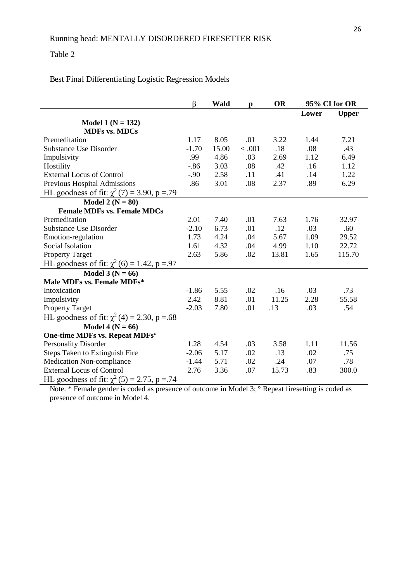#### Table 2

#### Best Final Differentiating Logistic Regression Models

|         |       |        |              | 95% CI for OR |              |
|---------|-------|--------|--------------|---------------|--------------|
|         |       |        |              |               | <b>Upper</b> |
|         |       |        |              |               |              |
|         |       |        |              |               |              |
| 1.17    | 8.05  | .01    | 3.22         | 1.44          | 7.21         |
| $-1.70$ | 15.00 | < .001 | .18          | .08           | .43          |
| .99     | 4.86  | .03    | 2.69         | 1.12          | 6.49         |
| $-0.86$ | 3.03  | .08    | .42          | .16           | 1.12         |
| $-.90$  | 2.58  | .11    | .41          | .14           | 1.22         |
| .86     | 3.01  | .08    | 2.37         | .89           | 6.29         |
|         |       |        |              |               |              |
|         |       |        |              |               |              |
|         |       |        |              |               |              |
| 2.01    | 7.40  | .01    | 7.63         | 1.76          | 32.97        |
| $-2.10$ | 6.73  | .01    | .12          | .03           | .60          |
| 1.73    | 4.24  | .04    | 5.67         | 1.09          | 29.52        |
| 1.61    | 4.32  | .04    | 4.99         | 1.10          | 22.72        |
| 2.63    | 5.86  | .02    | 13.81        | 1.65          | 115.70       |
|         |       |        |              |               |              |
|         |       |        |              |               |              |
|         |       |        |              |               |              |
| $-1.86$ | 5.55  | .02    | .16          | .03           | .73          |
| 2.42    | 8.81  | .01    | 11.25        | 2.28          | 55.58        |
| $-2.03$ | 7.80  | .01    | .13          | .03           | .54          |
|         |       |        |              |               |              |
|         |       |        |              |               |              |
|         |       |        |              |               |              |
| 1.28    | 4.54  | .03    | 3.58         | 1.11          | 11.56        |
| $-2.06$ | 5.17  | .02    | .13          | .02           | .75          |
| $-1.44$ | 5.71  | .02    | .24          | .07           | .78          |
| 2.76    | 3.36  | .07    | 15.73        | .83           | 300.0        |
|         |       |        |              |               |              |
|         | β     | Wald   | $\mathbf{p}$ | <b>OR</b>     | Lower        |

Note. \* Female gender is coded as presence of outcome in Model 3; **°** Repeat firesetting is coded as presence of outcome in Model 4.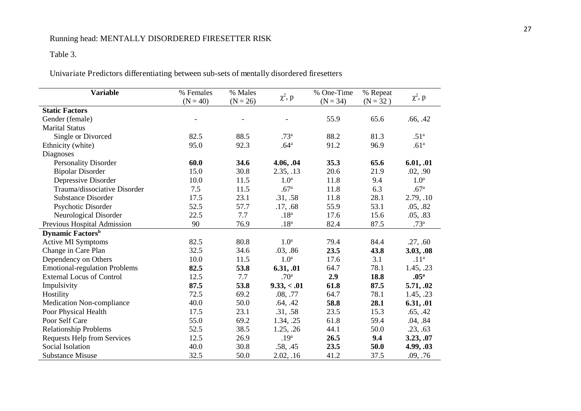## Table 3.

Univariate Predictors differentiating between sub-sets of mentally disordered firesetters

| <b>Variable</b>                      | % Females<br>$(N = 40)$ | % Males<br>$(N = 26)$ | $\chi^2$ , p     | % One-Time<br>$(N = 34)$ | % Repeat<br>$(N = 32)$ | $\chi^2$ , p     |
|--------------------------------------|-------------------------|-----------------------|------------------|--------------------------|------------------------|------------------|
| <b>Static Factors</b>                |                         |                       |                  |                          |                        |                  |
| Gender (female)                      |                         |                       |                  | 55.9                     | 65.6                   | .66, .42         |
| <b>Marital Status</b>                |                         |                       |                  |                          |                        |                  |
| Single or Divorced                   | 82.5                    | 88.5                  | .73 <sup>a</sup> | 88.2                     | 81.3                   | .51 <sup>a</sup> |
| Ethnicity (white)                    | 95.0                    | 92.3                  | .64 <sup>a</sup> | 91.2                     | 96.9                   | .61 <sup>a</sup> |
| Diagnoses                            |                         |                       |                  |                          |                        |                  |
| <b>Personality Disorder</b>          | 60.0                    | 34.6                  | 4.06, .04        | 35.3                     | 65.6                   | 6.01, .01        |
| <b>Bipolar Disorder</b>              | 15.0                    | 30.8                  | 2.35, .13        | 20.6                     | 21.9                   | .02, .90         |
| Depressive Disorder                  | 10.0                    | 11.5                  | 1.0 <sup>a</sup> | 11.8                     | 9.4                    | 1.0 <sup>a</sup> |
| Trauma/dissociative Disorder         | 7.5                     | 11.5                  | .67 <sup>a</sup> | 11.8                     | 6.3                    | .67 <sup>a</sup> |
| <b>Substance Disorder</b>            | 17.5                    | 23.1                  | .31, .58         | 11.8                     | 28.1                   | 2.79, .10        |
| Psychotic Disorder                   | 52.5                    | 57.7                  | .17, .68         | 55.9                     | 53.1                   | .05, .82         |
| Neurological Disorder                | 22.5                    | 7.7                   | .18 <sup>a</sup> | 17.6                     | 15.6                   | .05, .83         |
| Previous Hospital Admission          | 90                      | 76.9                  | .18 <sup>a</sup> | 82.4                     | 87.5                   | .73 <sup>a</sup> |
| <b>Dynamic Factors</b> <sup>b</sup>  |                         |                       |                  |                          |                        |                  |
| <b>Active MI Symptoms</b>            | 82.5                    | 80.8                  | 1.0 <sup>a</sup> | 79.4                     | 84.4                   | .27, .60         |
| Change in Care Plan                  | 32.5                    | 34.6                  | .03, .86         | 23.5                     | 43.8                   | 3.03, .08        |
| Dependency on Others                 | 10.0                    | 11.5                  | 1.0 <sup>a</sup> | 17.6                     | 3.1                    | .11 <sup>a</sup> |
| <b>Emotional-regulation Problems</b> | 82.5                    | 53.8                  | 6.31, .01        | 64.7                     | 78.1                   | 1.45, .23        |
| <b>External Locus of Control</b>     | 12.5                    | 7.7                   | .70 <sup>a</sup> | 2.9                      | 18.8                   | .05 <sup>a</sup> |
| Impulsivity                          | 87.5                    | 53.8                  | 9.33,<.01        | 61.8                     | 87.5                   | 5.71, .02        |
| Hostility                            | 72.5                    | 69.2                  | .08, .77         | 64.7                     | 78.1                   | 1.45, .23        |
| Medication Non-compliance            | 40.0                    | 50.0                  | .64, .42         | 58.8                     | 28.1                   | 6.31, .01        |
| Poor Physical Health                 | 17.5                    | 23.1                  | .31, .58         | 23.5                     | 15.3                   | .65, .42         |
| Poor Self Care                       | 55.0                    | 69.2                  | 1.34, .25        | 61.8                     | 59.4                   | .04, .84         |
| <b>Relationship Problems</b>         | 52.5                    | 38.5                  | 1.25, .26        | 44.1                     | 50.0                   | .23, .63         |
| <b>Requests Help from Services</b>   | 12.5                    | 26.9                  | .19 <sup>a</sup> | 26.5                     | 9.4                    | 3.23, .07        |
| Social Isolation                     | 40.0                    | 30.8                  | .58, .45         | 23.5                     | 50.0                   | 4.99, .03        |
| <b>Substance Misuse</b>              | 32.5                    | 50.0                  | 2.02, .16        | 41.2                     | 37.5                   | .09, .76         |